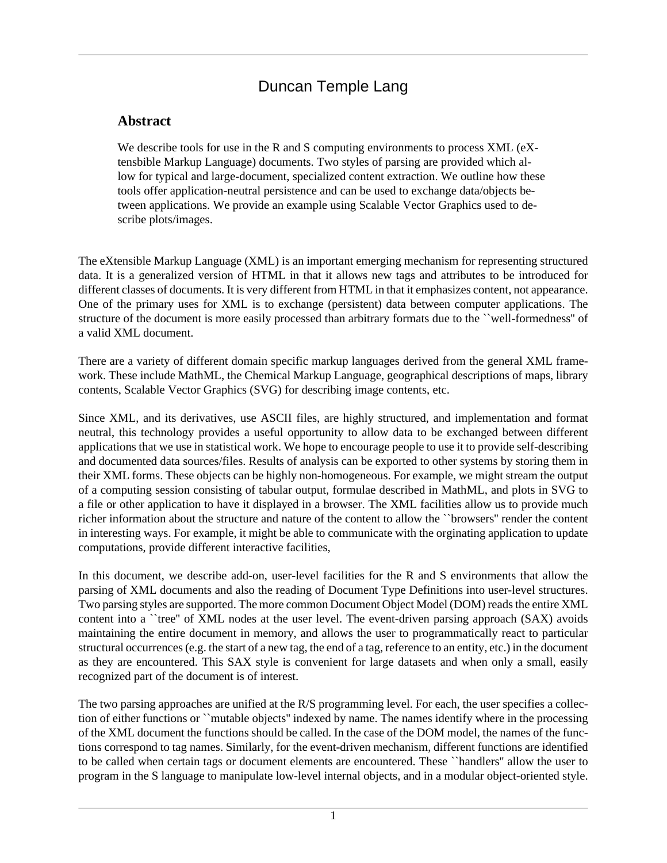## Duncan Temple Lang

## **Abstract**

We describe tools for use in the R and S computing environments to process XML (eXtensbible Markup Language) documents. Two styles of parsing are provided which allow for typical and large-document, specialized content extraction. We outline how these tools offer application-neutral persistence and can be used to exchange data/objects between applications. We provide an example using Scalable Vector Graphics used to describe plots/images.

The eXtensible Markup Language (XML) is an important emerging mechanism for representing structured data. It is a generalized version of HTML in that it allows new tags and attributes to be introduced for different classes of documents. It is very different from HTML in that it emphasizes content, not appearance. One of the primary uses for XML is to exchange (persistent) data between computer applications. The structure of the document is more easily processed than arbitrary formats due to the ``well-formedness'' of a valid XML document.

There are a variety of different domain specific markup languages derived from the general XML framework. These include MathML, the Chemical Markup Language, geographical descriptions of maps, library contents, Scalable Vector Graphics (SVG) for describing image contents, etc.

Since XML, and its derivatives, use ASCII files, are highly structured, and implementation and format neutral, this technology provides a useful opportunity to allow data to be exchanged between different applications that we use in statistical work. We hope to encourage people to use it to provide self-describing and documented data sources/files. Results of analysis can be exported to other systems by storing them in their XML forms. These objects can be highly non-homogeneous. For example, we might stream the output of a computing session consisting of tabular output, formulae described in MathML, and plots in SVG to a file or other application to have it displayed in a browser. The XML facilities allow us to provide much richer information about the structure and nature of the content to allow the ``browsers'' render the content in interesting ways. For example, it might be able to communicate with the orginating application to update computations, provide different interactive facilities,

In this document, we describe add-on, user-level facilities for the R and S environments that allow the parsing of XML documents and also the reading of Document Type Definitions into user-level structures. Two parsing styles are supported. The more common Document Object Model (DOM) reads the entire XML content into a "tree" of XML nodes at the user level. The event-driven parsing approach (SAX) avoids maintaining the entire document in memory, and allows the user to programmatically react to particular structural occurrences (e.g. the start of a new tag, the end of a tag, reference to an entity, etc.) in the document as they are encountered. This SAX style is convenient for large datasets and when only a small, easily recognized part of the document is of interest.

The two parsing approaches are unified at the R/S programming level. For each, the user specifies a collection of either functions or ``mutable objects'' indexed by name. The names identify where in the processing of the XML document the functions should be called. In the case of the DOM model, the names of the functions correspond to tag names. Similarly, for the event-driven mechanism, different functions are identified to be called when certain tags or document elements are encountered. These ``handlers'' allow the user to program in the S language to manipulate low-level internal objects, and in a modular object-oriented style.